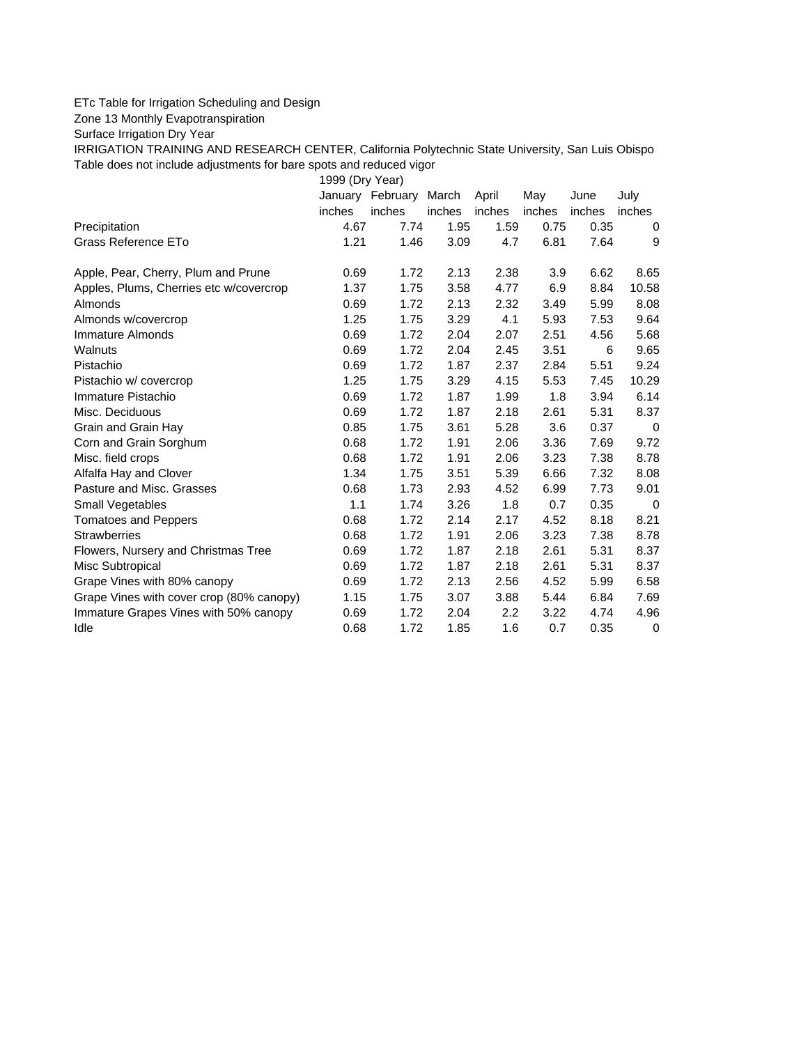## ETc Table for Irrigation Scheduling and Design

Zone 13 Monthly Evapotranspiration

Surface Irrigation Dry Year

IRRIGATION TRAINING AND RESEARCH CENTER, California Polytechnic State University, San Luis Obispo Table does not include adjustments for bare spots and reduced vigor

1999 (Dry Year)

|                                          | January | February | March  | April  | May    | June   | July   |
|------------------------------------------|---------|----------|--------|--------|--------|--------|--------|
|                                          | inches  | inches   | inches | inches | inches | inches | inches |
| Precipitation                            | 4.67    | 7.74     | 1.95   | 1.59   | 0.75   | 0.35   | 0      |
| Grass Reference ETo                      | 1.21    | 1.46     | 3.09   | 4.7    | 6.81   | 7.64   | 9      |
| Apple, Pear, Cherry, Plum and Prune      | 0.69    | 1.72     | 2.13   | 2.38   | 3.9    | 6.62   | 8.65   |
| Apples, Plums, Cherries etc w/covercrop  | 1.37    | 1.75     | 3.58   | 4.77   | 6.9    | 8.84   | 10.58  |
| Almonds                                  | 0.69    | 1.72     | 2.13   | 2.32   | 3.49   | 5.99   | 8.08   |
| Almonds w/covercrop                      | 1.25    | 1.75     | 3.29   | 4.1    | 5.93   | 7.53   | 9.64   |
| Immature Almonds                         | 0.69    | 1.72     | 2.04   | 2.07   | 2.51   | 4.56   | 5.68   |
| Walnuts                                  | 0.69    | 1.72     | 2.04   | 2.45   | 3.51   | 6      | 9.65   |
| Pistachio                                | 0.69    | 1.72     | 1.87   | 2.37   | 2.84   | 5.51   | 9.24   |
| Pistachio w/ covercrop                   | 1.25    | 1.75     | 3.29   | 4.15   | 5.53   | 7.45   | 10.29  |
| Immature Pistachio                       | 0.69    | 1.72     | 1.87   | 1.99   | 1.8    | 3.94   | 6.14   |
| Misc. Deciduous                          | 0.69    | 1.72     | 1.87   | 2.18   | 2.61   | 5.31   | 8.37   |
| Grain and Grain Hay                      | 0.85    | 1.75     | 3.61   | 5.28   | 3.6    | 0.37   | 0      |
| Corn and Grain Sorghum                   | 0.68    | 1.72     | 1.91   | 2.06   | 3.36   | 7.69   | 9.72   |
| Misc. field crops                        | 0.68    | 1.72     | 1.91   | 2.06   | 3.23   | 7.38   | 8.78   |
| Alfalfa Hay and Clover                   | 1.34    | 1.75     | 3.51   | 5.39   | 6.66   | 7.32   | 8.08   |
| Pasture and Misc. Grasses                | 0.68    | 1.73     | 2.93   | 4.52   | 6.99   | 7.73   | 9.01   |
| <b>Small Vegetables</b>                  | 1.1     | 1.74     | 3.26   | 1.8    | 0.7    | 0.35   | 0      |
| <b>Tomatoes and Peppers</b>              | 0.68    | 1.72     | 2.14   | 2.17   | 4.52   | 8.18   | 8.21   |
| <b>Strawberries</b>                      | 0.68    | 1.72     | 1.91   | 2.06   | 3.23   | 7.38   | 8.78   |
| Flowers, Nursery and Christmas Tree      | 0.69    | 1.72     | 1.87   | 2.18   | 2.61   | 5.31   | 8.37   |
| Misc Subtropical                         | 0.69    | 1.72     | 1.87   | 2.18   | 2.61   | 5.31   | 8.37   |
| Grape Vines with 80% canopy              | 0.69    | 1.72     | 2.13   | 2.56   | 4.52   | 5.99   | 6.58   |
| Grape Vines with cover crop (80% canopy) | 1.15    | 1.75     | 3.07   | 3.88   | 5.44   | 6.84   | 7.69   |
| Immature Grapes Vines with 50% canopy    | 0.69    | 1.72     | 2.04   | 2.2    | 3.22   | 4.74   | 4.96   |
| Idle                                     | 0.68    | 1.72     | 1.85   | 1.6    | 0.7    | 0.35   | 0      |